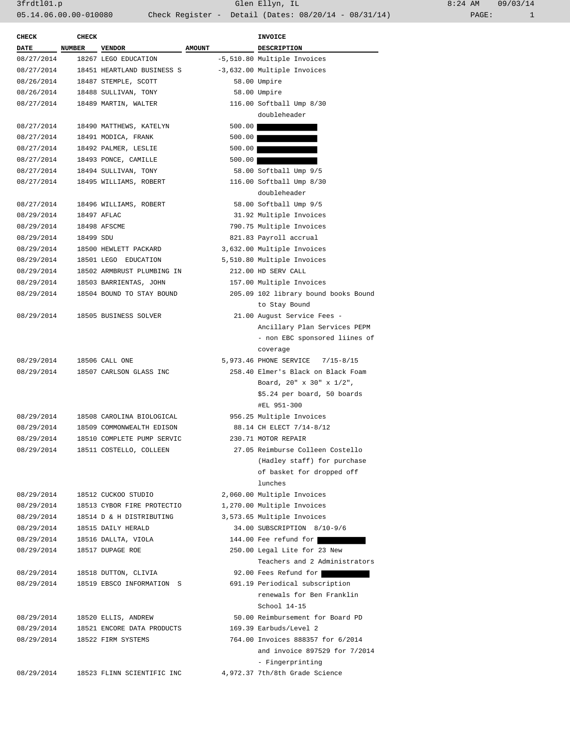3frdtl01.p Glen Ellyn, IL 8:24 AM 09/03/14 05.14.06.00.00-010080 Check Register - Detail (Dates: 08/20/14 - 08/31/14) PAGE: 1

| <b>CHECK</b> | <b>CHECK</b> |                            |               | <b>INVOICE</b>                       |
|--------------|--------------|----------------------------|---------------|--------------------------------------|
| <b>DATE</b>  | NUMBER       | <b>VENDOR</b>              | <b>AMOUNT</b> | DESCRIPTION                          |
| 08/27/2014   |              | 18267 LEGO EDUCATION       |               | -5,510.80 Multiple Invoices          |
| 08/27/2014   |              | 18451 HEARTLAND BUSINESS S |               | -3,632.00 Multiple Invoices          |
| 08/26/2014   |              | 18487 STEMPLE, SCOTT       |               | 58.00 Umpire                         |
| 08/26/2014   |              | 18488 SULLIVAN, TONY       |               | 58.00 Umpire                         |
| 08/27/2014   |              | 18489 MARTIN, WALTER       |               | 116.00 Softball Ump 8/30             |
|              |              |                            |               | doubleheader                         |
| 08/27/2014   |              | 18490 MATTHEWS, KATELYN    | 500.00        |                                      |
| 08/27/2014   |              | 18491 MODICA, FRANK        | 500.00        |                                      |
| 08/27/2014   |              | 18492 PALMER, LESLIE       | 500.00        |                                      |
| 08/27/2014   |              | 18493 PONCE, CAMILLE       | 500.00        |                                      |
| 08/27/2014   |              | 18494 SULLIVAN, TONY       |               | 58.00 Softball Ump 9/5               |
| 08/27/2014   |              | 18495 WILLIAMS, ROBERT     |               | 116.00 Softball Ump 8/30             |
|              |              |                            |               | doubleheader                         |
| 08/27/2014   |              | 18496 WILLIAMS, ROBERT     |               | 58.00 Softball Ump 9/5               |
| 08/29/2014   |              | 18497 AFLAC                |               | 31.92 Multiple Invoices              |
| 08/29/2014   |              | 18498 AFSCME               |               | 790.75 Multiple Invoices             |
| 08/29/2014   | 18499 SDU    |                            |               | 821.83 Payroll accrual               |
| 08/29/2014   |              | 18500 HEWLETT PACKARD      |               | 3,632.00 Multiple Invoices           |
| 08/29/2014   |              | 18501 LEGO EDUCATION       |               | 5,510.80 Multiple Invoices           |
| 08/29/2014   |              | 18502 ARMBRUST PLUMBING IN |               | 212.00 HD SERV CALL                  |
| 08/29/2014   |              | 18503 BARRIENTAS, JOHN     |               | 157.00 Multiple Invoices             |
| 08/29/2014   |              | 18504 BOUND TO STAY BOUND  |               | 205.09 102 library bound books Bound |
|              |              |                            |               | to Stay Bound                        |
| 08/29/2014   |              | 18505 BUSINESS SOLVER      |               | 21.00 August Service Fees -          |
|              |              |                            |               | Ancillary Plan Services PEPM         |
|              |              |                            |               | - non EBC sponsored liines of        |
|              |              |                            |               | coverage                             |
| 08/29/2014   |              | 18506 CALL ONE             |               | 5,973.46 PHONE SERVICE 7/15-8/15     |
| 08/29/2014   |              | 18507 CARLSON GLASS INC    |               | 258.40 Elmer's Black on Black Foam   |
|              |              |                            |               | Board, 20" x 30" x 1/2",             |
|              |              |                            |               | \$5.24 per board, 50 boards          |
|              |              |                            |               | #EL 951-300                          |
| 08/29/2014   |              | 18508 CAROLINA BIOLOGICAL  |               | 956.25 Multiple Invoices             |
| 08/29/2014   |              | 18509 COMMONWEALTH EDISON  |               | 88.14 CH ELECT 7/14-8/12             |
| 08/29/2014   |              | 18510 COMPLETE PUMP SERVIC |               | 230.71 MOTOR REPAIR                  |
| 08/29/2014   |              | 18511 COSTELLO, COLLEEN    |               | 27.05 Reimburse Colleen Costello     |
|              |              |                            |               | (Hadley staff) for purchase          |
|              |              |                            |               | of basket for dropped off            |
|              |              |                            |               | lunches                              |
| 08/29/2014   |              | 18512 CUCKOO STUDIO        |               | 2,060.00 Multiple Invoices           |
| 08/29/2014   |              | 18513 CYBOR FIRE PROTECTIO |               | 1,270.00 Multiple Invoices           |
| 08/29/2014   |              | 18514 D & H DISTRIBUTING   |               | 3,573.65 Multiple Invoices           |
| 08/29/2014   |              | 18515 DAILY HERALD         |               | 34.00 SUBSCRIPTION 8/10-9/6          |
| 08/29/2014   |              | 18516 DALLTA, VIOLA        |               | 144.00 Fee refund for                |
| 08/29/2014   |              | 18517 DUPAGE ROE           |               | 250.00 Legal Lite for 23 New         |
|              |              |                            |               | Teachers and 2 Administrators        |
| 08/29/2014   |              | 18518 DUTTON, CLIVIA       |               | 92.00 Fees Refund for                |
| 08/29/2014   |              | 18519 EBSCO INFORMATION S  |               | 691.19 Periodical subscription       |
|              |              |                            |               | renewals for Ben Franklin            |
|              |              |                            |               | School 14-15                         |
| 08/29/2014   |              | 18520 ELLIS, ANDREW        |               | 50.00 Reimbursement for Board PD     |
| 08/29/2014   |              | 18521 ENCORE DATA PRODUCTS |               | 169.39 Earbuds/Level 2               |
| 08/29/2014   |              | 18522 FIRM SYSTEMS         |               | 764.00 Invoices 888357 for 6/2014    |
|              |              |                            |               | and invoice 897529 for 7/2014        |
|              |              |                            |               | - Fingerprinting                     |
| 08/29/2014   |              | 18523 FLINN SCIENTIFIC INC |               | 4,972.37 7th/8th Grade Science       |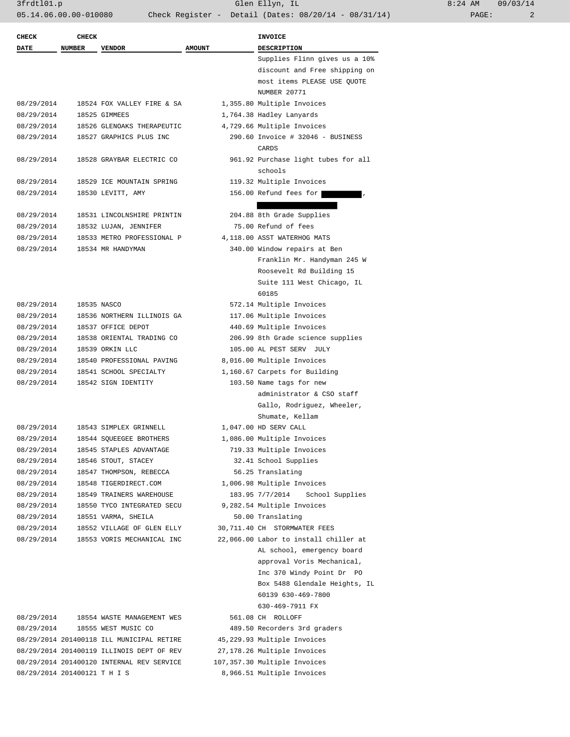| $8:24$ AM |       | 09/03/14 |
|-----------|-------|----------|
|           | PAGE: | 2        |

| <b>CHECK</b>                 | <b>CHECK</b>  |                                               |               | <b>INVOICE</b>                                             |
|------------------------------|---------------|-----------------------------------------------|---------------|------------------------------------------------------------|
| <b>DATE</b>                  | <b>NUMBER</b> | <b>VENDOR</b>                                 | <b>AMOUNT</b> | <b>DESCRIPTION</b>                                         |
|                              |               |                                               |               | Supplies Flinn gives us a 10%                              |
|                              |               |                                               |               | discount and Free shipping on                              |
|                              |               |                                               |               | most items PLEASE USE QUOTE                                |
|                              |               |                                               |               | <b>NUMBER 20771</b>                                        |
| 08/29/2014                   |               | 18524 FOX VALLEY FIRE & SA                    |               | 1,355.80 Multiple Invoices                                 |
| 08/29/2014                   |               | 18525 GIMMEES                                 |               | 1,764.38 Hadley Lanyards                                   |
| 08/29/2014                   |               | 18526 GLENOAKS THERAPEUTIC                    |               | 4,729.66 Multiple Invoices                                 |
| 08/29/2014                   |               | 18527 GRAPHICS PLUS INC                       |               | 290.60 Invoice # 32046 - BUSINESS                          |
|                              |               |                                               |               | CARDS                                                      |
| 08/29/2014                   |               | 18528 GRAYBAR ELECTRIC CO                     |               | 961.92 Purchase light tubes for all                        |
|                              |               |                                               |               | schools                                                    |
| 08/29/2014                   |               | 18529 ICE MOUNTAIN SPRING                     |               | 119.32 Multiple Invoices                                   |
| 08/29/2014                   |               | 18530 LEVITT, AMY                             |               | 156.00 Refund fees for                                     |
|                              |               |                                               |               |                                                            |
| 08/29/2014                   |               | 18531 LINCOLNSHIRE PRINTIN                    |               | 204.88 8th Grade Supplies                                  |
| 08/29/2014                   |               | 18532 LUJAN, JENNIFER                         |               | 75.00 Refund of fees                                       |
| 08/29/2014                   |               | 18533 METRO PROFESSIONAL P                    |               | 4,118.00 ASST WATERHOG MATS                                |
| 08/29/2014                   |               | 18534 MR HANDYMAN                             |               | 340.00 Window repairs at Ben                               |
|                              |               |                                               |               | Franklin Mr. Handyman 245 W                                |
|                              |               |                                               |               | Roosevelt Rd Building 15                                   |
|                              |               |                                               |               | Suite 111 West Chicago, IL                                 |
|                              |               |                                               |               | 60185                                                      |
| 08/29/2014                   |               | 18535 NASCO                                   |               | 572.14 Multiple Invoices                                   |
| 08/29/2014                   |               | 18536 NORTHERN ILLINOIS GA                    |               | 117.06 Multiple Invoices                                   |
| 08/29/2014                   |               | 18537 OFFICE DEPOT                            |               | 440.69 Multiple Invoices                                   |
| 08/29/2014                   |               | 18538 ORIENTAL TRADING CO                     |               | 206.99 8th Grade science supplies                          |
| 08/29/2014                   |               | 18539 ORKIN LLC                               |               | 105.00 AL PEST SERV JULY                                   |
| 08/29/2014                   |               | 18540 PROFESSIONAL PAVING                     |               | 8,016.00 Multiple Invoices                                 |
| 08/29/2014<br>08/29/2014     |               | 18541 SCHOOL SPECIALTY<br>18542 SIGN IDENTITY |               | 1,160.67 Carpets for Building<br>103.50 Name tags for new  |
|                              |               |                                               |               | administrator & CSO staff                                  |
|                              |               |                                               |               | Gallo, Rodriguez, Wheeler,                                 |
|                              |               |                                               |               | Shumate, Kellam                                            |
| 08/29/2014                   |               | 18543 SIMPLEX GRINNELL                        |               | 1,047.00 HD SERV CALL                                      |
| 08/29/2014                   |               | 18544 SQUEEGEE BROTHERS                       |               | 1,086.00 Multiple Invoices                                 |
| 08/29/2014                   |               | 18545 STAPLES ADVANTAGE                       |               | 719.33 Multiple Invoices                                   |
| 08/29/2014                   |               | 18546 STOUT, STACEY                           |               | 32.41 School Supplies                                      |
| 08/29/2014                   |               | 18547 THOMPSON, REBECCA                       |               | 56.25 Translating                                          |
| 08/29/2014                   |               | 18548 TIGERDIRECT.COM                         |               | 1,006.98 Multiple Invoices                                 |
| 08/29/2014                   |               | 18549 TRAINERS WAREHOUSE                      |               | 183.95 7/7/2014 School Supplies                            |
| 08/29/2014                   |               | 18550 TYCO INTEGRATED SECU                    |               | 9,282.54 Multiple Invoices                                 |
| 08/29/2014                   |               | 18551 VARMA, SHEILA                           |               | 50.00 Translating                                          |
| 08/29/2014                   |               | 18552 VILLAGE OF GLEN ELLY                    |               | 30,711.40 CH STORMWATER FEES                               |
| 08/29/2014                   |               | 18553 VORIS MECHANICAL INC                    |               | 22,066.00 Labor to install chiller at                      |
|                              |               |                                               |               | AL school, emergency board                                 |
|                              |               |                                               |               | approval Voris Mechanical,                                 |
|                              |               |                                               |               | Inc 370 Windy Point Dr PO                                  |
|                              |               |                                               |               | Box 5488 Glendale Heights, IL                              |
|                              |               |                                               |               | 60139 630-469-7800                                         |
|                              |               |                                               |               | 630-469-7911 FX                                            |
| 08/29/2014                   |               | 18554 WASTE MANAGEMENT WES                    |               | 561.08 CH ROLLOFF                                          |
| 08/29/2014                   |               | 18555 WEST MUSIC CO                           |               | 489.50 Recorders 3rd graders                               |
|                              |               | 08/29/2014 201400118 ILL MUNICIPAL RETIRE     |               | 45,229.93 Multiple Invoices                                |
|                              |               | 08/29/2014 201400119 ILLINOIS DEPT OF REV     |               | 27,178.26 Multiple Invoices                                |
| 08/29/2014 201400121 T H I S |               | 08/29/2014 201400120 INTERNAL REV SERVICE     |               | 107,357.30 Multiple Invoices<br>8,966.51 Multiple Invoices |
|                              |               |                                               |               |                                                            |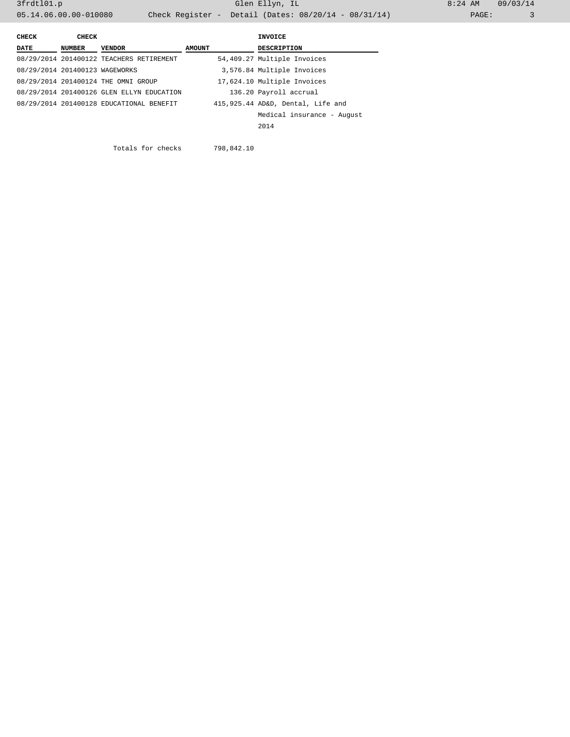3frdtl01.p Glen Ellyn, IL 8:24 AM 09/03/14 05.14.06.00.00-010080 Check Register - Detail (Dates: 08/20/14 - 08/31/14)

| CHECK                          | CHECK  |                                           |        | INVOICE                           |
|--------------------------------|--------|-------------------------------------------|--------|-----------------------------------|
| <b>DATE</b>                    | NUMBER | <b>VENDOR</b>                             | AMOUNT | <b>DESCRIPTION</b>                |
|                                |        | 08/29/2014 201400122 TEACHERS RETIREMENT  |        | 54,409.27 Multiple Invoices       |
| 08/29/2014 201400123 WAGEWORKS |        |                                           |        | 3,576.84 Multiple Invoices        |
|                                |        | 08/29/2014 201400124 THE OMNI GROUP       |        | 17,624.10 Multiple Invoices       |
|                                |        | 08/29/2014 201400126 GLEN ELLYN EDUCATION |        | 136.20 Payroll accrual            |
|                                |        | 08/29/2014 201400128 EDUCATIONAL BENEFIT  |        | 415,925.44 AD&D, Dental, Life and |
|                                |        |                                           |        | Medical insurance - August        |
|                                |        |                                           |        | 2014                              |

Totals for checks 798,842.10